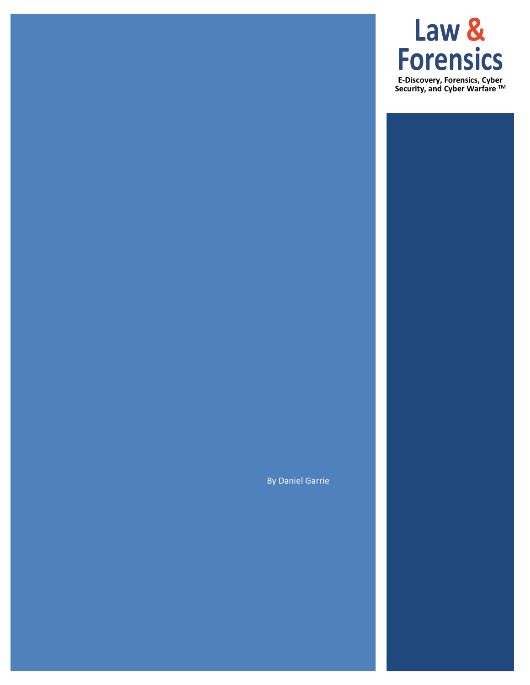# **Law & Forensics**

**E-Discovery, Forensics, Cyber Security, and Cyber Warfare TM**

By Daniel Garrie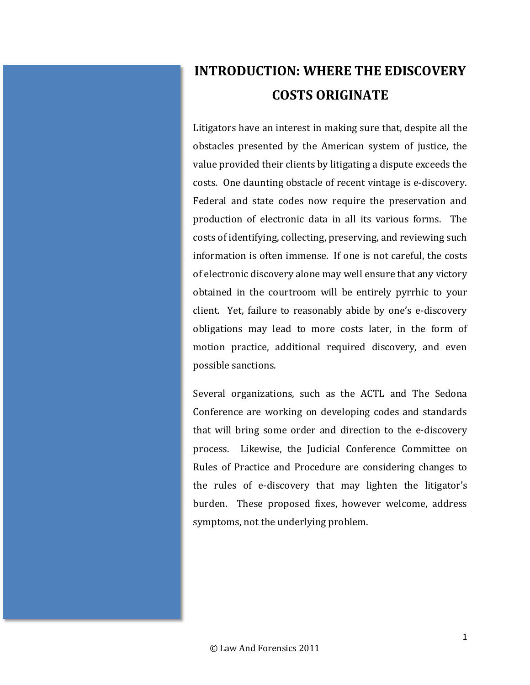# **INTRODUCTION: WHERE THE EDISCOVERY COSTS ORIGINATE**

Litigators have an interest in making sure that, despite all the obstacles presented by the American system of justice, the value provided their clients by litigating a dispute exceeds the costs. One daunting obstacle of recent vintage is e-discovery. Federal and state codes now require the preservation and production of electronic data in all its various forms. The costs of identifying, collecting, preserving, and reviewing such information is often immense. If one is not careful, the costs of electronic discovery alone may well ensure that any victory obtained in the courtroom will be entirely pyrrhic to your client. Yet, failure to reasonably abide by one's e-discovery obligations may lead to more costs later, in the form of motion practice, additional required discovery, and even possible sanctions.

Several organizations, such as the ACTL and The Sedona Conference are working on developing codes and standards that will bring some order and direction to the e-discovery process. Likewise, the Judicial Conference Committee on Rules of Practice and Procedure are considering changes to the rules of e-discovery that may lighten the litigator's burden. These proposed fixes, however welcome, address symptoms, not the underlying problem.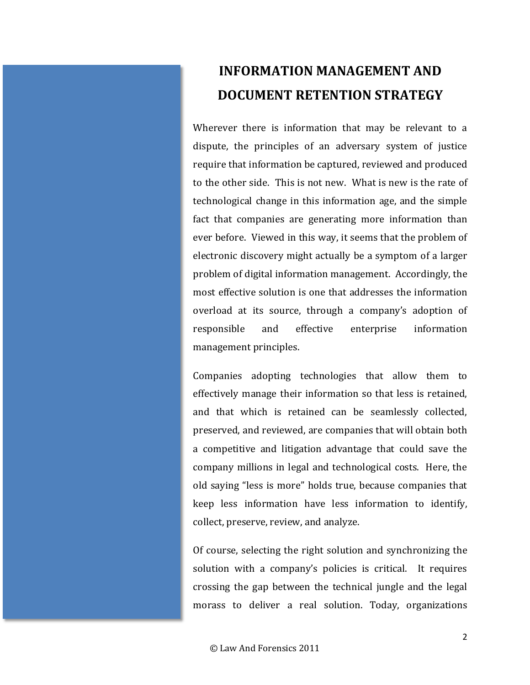## **INFORMATION MANAGEMENT AND DOCUMENT RETENTION STRATEGY**

Wherever there is information that may be relevant to a dispute, the principles of an adversary system of justice require that information be captured, reviewed and produced to the other side. This is not new. What is new is the rate of technological change in this information age, and the simple fact that companies are generating more information than ever before. Viewed in this way, it seems that the problem of electronic discovery might actually be a symptom of a larger problem of digital information management. Accordingly, the most effective solution is one that addresses the information overload at its source, through a company's adoption of responsible and effective enterprise information management principles.

Companies adopting technologies that allow them to effectively manage their information so that less is retained, and that which is retained can be seamlessly collected, preserved, and reviewed, are companies that will obtain both a competitive and litigation advantage that could save the company millions in legal and technological costs. Here, the old saying "less is more" holds true, because companies that keep less information have less information to identify, collect, preserve, review, and analyze.

Of course, selecting the right solution and synchronizing the solution with a company's policies is critical. It requires crossing the gap between the technical jungle and the legal morass to deliver a real solution. Today, organizations